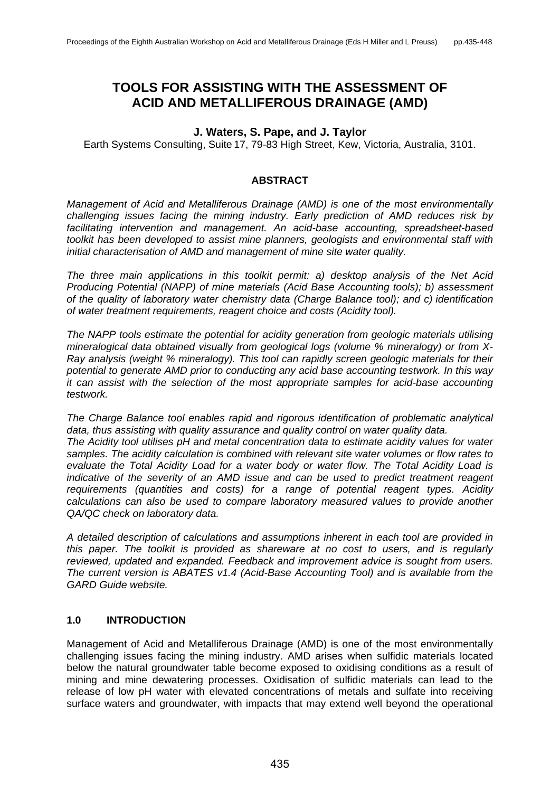# **TOOLS FOR ASSISTING WITH THE ASSESSMENT OF ACID AND METALLIFEROUS DRAINAGE (AMD)**

#### **J. Waters, S. Pape, and J. Taylor**

Earth Systems Consulting, Suite 17, 79-83 High Street, Kew, Victoria, Australia, 3101.

#### **ABSTRACT**

*Management of Acid and Metalliferous Drainage (AMD) is one of the most environmentally challenging issues facing the mining industry. Early prediction of AMD reduces risk by facilitating intervention and management. An acid-base accounting, spreadsheet-based toolkit has been developed to assist mine planners, geologists and environmental staff with initial characterisation of AMD and management of mine site water quality.* 

*The three main applications in this toolkit permit: a) desktop analysis of the Net Acid Producing Potential (NAPP) of mine materials (Acid Base Accounting tools); b) assessment of the quality of laboratory water chemistry data (Charge Balance tool); and c) identification of water treatment requirements, reagent choice and costs (Acidity tool).*

*The NAPP tools estimate the potential for acidity generation from geologic materials utilising mineralogical data obtained visually from geological logs (volume % mineralogy) or from X-Ray analysis (weight % mineralogy). This tool can rapidly screen geologic materials for their potential to generate AMD prior to conducting any acid base accounting testwork. In this way it can assist with the selection of the most appropriate samples for acid-base accounting testwork.* 

*The Charge Balance tool enables rapid and rigorous identification of problematic analytical data, thus assisting with quality assurance and quality control on water quality data. The Acidity tool utilises pH and metal concentration data to estimate acidity values for water samples. The acidity calculation is combined with relevant site water volumes or flow rates to evaluate the Total Acidity Load for a water body or water flow. The Total Acidity Load is indicative of the severity of an AMD issue and can be used to predict treatment reagent requirements (quantities and costs) for a range of potential reagent types. Acidity calculations can also be used to compare laboratory measured values to provide another QA/QC check on laboratory data.*

*A detailed description of calculations and assumptions inherent in each tool are provided in this paper. The toolkit is provided as shareware at no cost to users, and is regularly reviewed, updated and expanded. Feedback and improvement advice is sought from users. The current version is ABATES v1.4 (Acid-Base Accounting Tool) and is available from the GARD Guide website.*

#### **1.0 INTRODUCTION**

Management of Acid and Metalliferous Drainage (AMD) is one of the most environmentally challenging issues facing the mining industry. AMD arises when sulfidic materials located below the natural groundwater table become exposed to oxidising conditions as a result of mining and mine dewatering processes. Oxidisation of sulfidic materials can lead to the release of low pH water with elevated concentrations of metals and sulfate into receiving surface waters and groundwater, with impacts that may extend well beyond the operational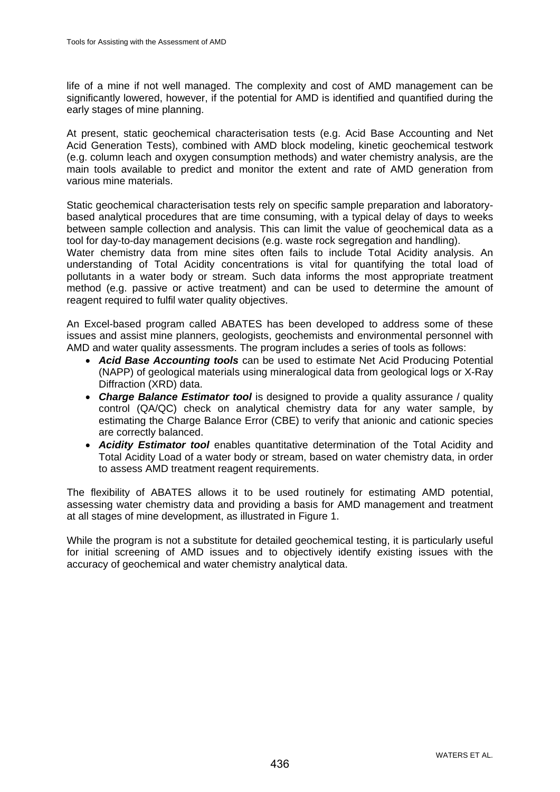life of a mine if not well managed. The complexity and cost of AMD management can be significantly lowered, however, if the potential for AMD is identified and quantified during the early stages of mine planning.

At present, static geochemical characterisation tests (e.g. Acid Base Accounting and Net Acid Generation Tests), combined with AMD block modeling, kinetic geochemical testwork (e.g. column leach and oxygen consumption methods) and water chemistry analysis, are the main tools available to predict and monitor the extent and rate of AMD generation from various mine materials.

Static geochemical characterisation tests rely on specific sample preparation and laboratorybased analytical procedures that are time consuming, with a typical delay of days to weeks between sample collection and analysis. This can limit the value of geochemical data as a tool for day-to-day management decisions (e.g. waste rock segregation and handling).

Water chemistry data from mine sites often fails to include Total Acidity analysis. An understanding of Total Acidity concentrations is vital for quantifying the total load of pollutants in a water body or stream. Such data informs the most appropriate treatment method (e.g. passive or active treatment) and can be used to determine the amount of reagent required to fulfil water quality objectives.

An Excel-based program called ABATES has been developed to address some of these issues and assist mine planners, geologists, geochemists and environmental personnel with AMD and water quality assessments. The program includes a series of tools as follows:

- *Acid Base Accounting tools* can be used to estimate Net Acid Producing Potential (NAPP) of geological materials using mineralogical data from geological logs or X-Ray Diffraction (XRD) data.
- *Charge Balance Estimator tool* is designed to provide a quality assurance / quality control (QA/QC) check on analytical chemistry data for any water sample, by estimating the Charge Balance Error (CBE) to verify that anionic and cationic species are correctly balanced.
- *Acidity Estimator tool* enables quantitative determination of the Total Acidity and Total Acidity Load of a water body or stream, based on water chemistry data, in order to assess AMD treatment reagent requirements.

The flexibility of ABATES allows it to be used routinely for estimating AMD potential, assessing water chemistry data and providing a basis for AMD management and treatment at all stages of mine development, as illustrated in Figure 1.

While the program is not a substitute for detailed geochemical testing, it is particularly useful for initial screening of AMD issues and to objectively identify existing issues with the accuracy of geochemical and water chemistry analytical data.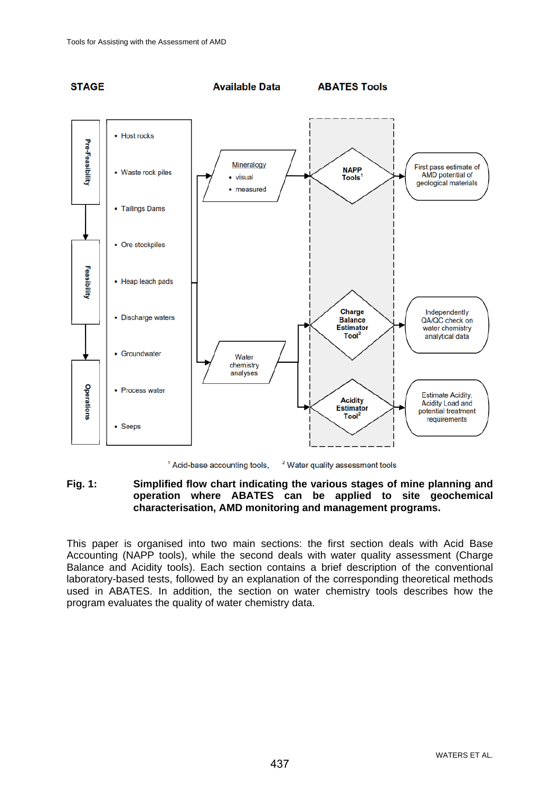

<sup>1</sup> Acid-base accounting tools, <sup>2</sup> Water quality assessment tools

## **Fig. 1: Simplified flow chart indicating the various stages of mine planning and operation where ABATES can be applied to site geochemical characterisation, AMD monitoring and management programs.**

This paper is organised into two main sections: the first section deals with Acid Base Accounting (NAPP tools), while the second deals with water quality assessment (Charge Balance and Acidity tools). Each section contains a brief description of the conventional laboratory-based tests, followed by an explanation of the corresponding theoretical methods used in ABATES. In addition, the section on water chemistry tools describes how the program evaluates the quality of water chemistry data.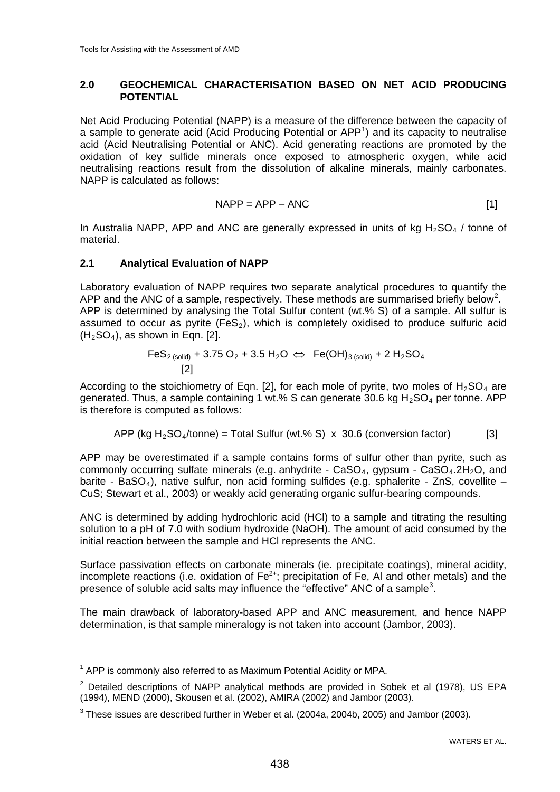## **2.0 GEOCHEMICAL CHARACTERISATION BASED ON NET ACID PRODUCING POTENTIAL**

Net Acid Producing Potential (NAPP) is a measure of the difference between the capacity of a sample to generate acid (Acid Producing Potential or  $APP<sup>1</sup>$  $APP<sup>1</sup>$  $APP<sup>1</sup>$ ) and its capacity to neutralise acid (Acid Neutralising Potential or ANC). Acid generating reactions are promoted by the oxidation of key sulfide minerals once exposed to atmospheric oxygen, while acid neutralising reactions result from the dissolution of alkaline minerals, mainly carbonates. NAPP is calculated as follows:

$$
NAPP = APP - ANC
$$
 [1]

In Australia NAPP, APP and ANC are generally expressed in units of kg  $H_2SO_4$  / tonne of material.

#### **2.1 Analytical Evaluation of NAPP**

Laboratory evaluation of NAPP requires two separate analytical procedures to quantify the APP and the ANC of a sample, respectively. These methods are summarised briefly below<sup>[2](#page-3-1)</sup>. APP is determined by analysing the Total Sulfur content (wt.% S) of a sample. All sulfur is assumed to occur as pyrite (FeS<sub>2</sub>), which is completely oxidised to produce sulfuric acid  $(H<sub>2</sub>SO<sub>4</sub>)$ , as shown in Eqn. [2].

$$
FeS_{2 (solid)} + 3.75 O_2 + 3.5 H_2O \Leftrightarrow Fe(OH)_{3 (solid)} + 2 H_2SO_4
$$
  
[2]

According to the stoichiometry of Eqn. [2], for each mole of pyrite, two moles of  $H_2SO_4$  are generated. Thus, a sample containing 1 wt.% S can generate 30.6 kg  $H_2SO_4$  per tonne. APP is therefore is computed as follows:

APP (kg H<sub>2</sub>SO<sub>4</sub>/tonne) = Total Sulfur (wt. % S) 
$$
\times
$$
 30.6 (conversion factor) [3]

APP may be overestimated if a sample contains forms of sulfur other than pyrite, such as commonly occurring sulfate minerals (e.g. anhydrite - CaSO<sub>4</sub>, gypsum - CaSO<sub>4</sub>, 2H<sub>2</sub>O, and barite - BaSO<sub>4</sub>), native sulfur, non acid forming sulfides (e.g. sphalerite - ZnS, covellite – CuS; Stewart et al., 2003) or weakly acid generating organic sulfur-bearing compounds.

ANC is determined by adding hydrochloric acid (HCl) to a sample and titrating the resulting solution to a pH of 7.0 with sodium hydroxide (NaOH). The amount of acid consumed by the initial reaction between the sample and HCl represents the ANC.

Surface passivation effects on carbonate minerals (ie. precipitate coatings), mineral acidity, incomplete reactions (i.e. oxidation of  $Fe^{2+}$ ; precipitation of Fe, AI and other metals) and the presence of soluble acid salts may influence the "effective" ANC of a sample<sup>[3](#page-3-2)</sup>.

The main drawback of laboratory-based APP and ANC measurement, and hence NAPP determination, is that sample mineralogy is not taken into account (Jambor, 2003).

<span id="page-3-0"></span> $1$  APP is commonly also referred to as Maximum Potential Acidity or MPA.

<span id="page-3-1"></span> $2$  Detailed descriptions of NAPP analytical methods are provided in Sobek et al (1978), US EPA (1994), MEND (2000), Skousen et al. (2002), AMIRA (2002) and Jambor (2003).

<span id="page-3-2"></span> $3$  These issues are described further in Weber et al. (2004a, 2004b, 2005) and Jambor (2003).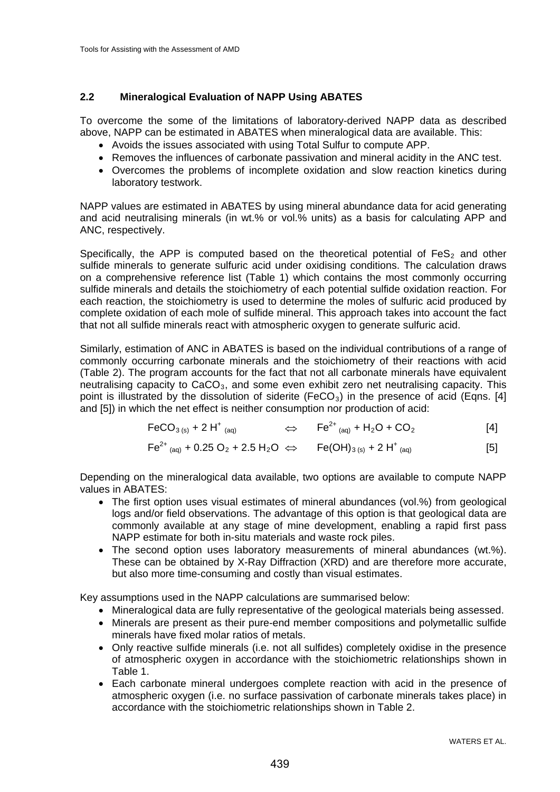# **2.2 Mineralogical Evaluation of NAPP Using ABATES**

To overcome the some of the limitations of laboratory-derived NAPP data as described above, NAPP can be estimated in ABATES when mineralogical data are available. This:

- Avoids the issues associated with using Total Sulfur to compute APP.
- Removes the influences of carbonate passivation and mineral acidity in the ANC test.
- Overcomes the problems of incomplete oxidation and slow reaction kinetics during laboratory testwork.

NAPP values are estimated in ABATES by using mineral abundance data for acid generating and acid neutralising minerals (in wt.% or vol.% units) as a basis for calculating APP and ANC, respectively.

Specifically, the APP is computed based on the theoretical potential of  $FeS<sub>2</sub>$  and other sulfide minerals to generate sulfuric acid under oxidising conditions. The calculation draws on a comprehensive reference list (Table 1) which contains the most commonly occurring sulfide minerals and details the stoichiometry of each potential sulfide oxidation reaction. For each reaction, the stoichiometry is used to determine the moles of sulfuric acid produced by complete oxidation of each mole of sulfide mineral. This approach takes into account the fact that not all sulfide minerals react with atmospheric oxygen to generate sulfuric acid.

Similarly, estimation of ANC in ABATES is based on the individual contributions of a range of commonly occurring carbonate minerals and the stoichiometry of their reactions with acid (Table 2). The program accounts for the fact that not all carbonate minerals have equivalent neutralising capacity to  $CaCO<sub>3</sub>$ , and some even exhibit zero net neutralising capacity. This point is illustrated by the dissolution of siderite (FeCO<sub>3</sub>) in the presence of acid (Eqns. [4] and [5]) in which the net effect is neither consumption nor production of acid:

$$
FeCO_{3 (s)} + 2 H^{+}{}_{(aq)} \qquad \qquad \Leftrightarrow \qquad Fe^{2+}{}_{(aq)} + H_{2}O + CO_{2} \qquad \qquad [4]
$$

$$
Fe^{2+}{}_{(aq)} + 0.25 O_2 + 2.5 H_2O \Leftrightarrow Fe(OH)_{3 (s)} + 2 H^+{}_{(aq)}
$$
 [5]

Depending on the mineralogical data available, two options are available to compute NAPP values in ABATES:

- The first option uses visual estimates of mineral abundances (vol.%) from geological logs and/or field observations. The advantage of this option is that geological data are commonly available at any stage of mine development, enabling a rapid first pass NAPP estimate for both in-situ materials and waste rock piles.
- The second option uses laboratory measurements of mineral abundances (wt.%). These can be obtained by X-Ray Diffraction (XRD) and are therefore more accurate, but also more time-consuming and costly than visual estimates.

Key assumptions used in the NAPP calculations are summarised below:

- Mineralogical data are fully representative of the geological materials being assessed.
- Minerals are present as their pure-end member compositions and polymetallic sulfide minerals have fixed molar ratios of metals.
- Only reactive sulfide minerals (i.e. not all sulfides) completely oxidise in the presence of atmospheric oxygen in accordance with the stoichiometric relationships shown in Table 1.
- Each carbonate mineral undergoes complete reaction with acid in the presence of atmospheric oxygen (i.e. no surface passivation of carbonate minerals takes place) in accordance with the stoichiometric relationships shown in Table 2.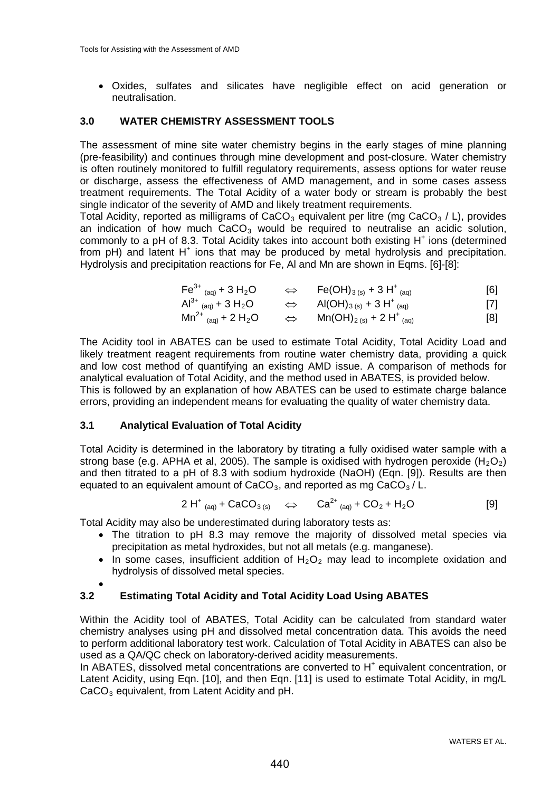• Oxides, sulfates and silicates have negligible effect on acid generation or neutralisation.

#### **3.0 WATER CHEMISTRY ASSESSMENT TOOLS**

The assessment of mine site water chemistry begins in the early stages of mine planning (pre-feasibility) and continues through mine development and post-closure. Water chemistry is often routinely monitored to fulfill regulatory requirements, assess options for water reuse or discharge, assess the effectiveness of AMD management, and in some cases assess treatment requirements. The Total Acidity of a water body or stream is probably the best single indicator of the severity of AMD and likely treatment requirements.

Total Acidity, reported as milligrams of  $CaCO<sub>3</sub>$  equivalent per litre (mg  $CaCO<sub>3</sub>$  / L), provides an indication of how much  $CaCO<sub>3</sub>$  would be required to neutralise an acidic solution, commonly to a pH of 8.3. Total Acidity takes into account both existing  $H^+$  ions (determined from  $pH$ ) and latent  $H^+$  ions that may be produced by metal hydrolysis and precipitation. Hydrolysis and precipitation reactions for Fe, Al and Mn are shown in Eqms. [6]-[8]:

$$
Fe^{3+}{}_{(aq)} + 3 H_2O \qquad \Leftrightarrow \qquad Fe(OH)_{3 (s)} + 3 H^+{}_{(aq)} \qquad [6]
$$

$$
Al^{3+}
$$
  $(aq) + 3 H_2O$   $\Leftrightarrow$   $Al(OH)_{3(s)} + 3 H^{+}$   $(aq)$  [7]

$$
Mn^{2+}
$$
<sub>(aq)</sub> + 2 H<sub>2</sub>O  $\Leftrightarrow$   $Mn(OH)_{2(s)} + 2 H^{+}$ <sub>(aq)</sub> [8]

The Acidity tool in ABATES can be used to estimate Total Acidity, Total Acidity Load and likely treatment reagent requirements from routine water chemistry data, providing a quick and low cost method of quantifying an existing AMD issue. A comparison of methods for analytical evaluation of Total Acidity, and the method used in ABATES, is provided below. This is followed by an explanation of how ABATES can be used to estimate charge balance errors, providing an independent means for evaluating the quality of water chemistry data.

#### **3.1 Analytical Evaluation of Total Acidity**

Total Acidity is determined in the laboratory by titrating a fully oxidised water sample with a strong base (e.g. APHA et al, 2005). The sample is oxidised with hydrogen peroxide ( $H_2O_2$ ) and then titrated to a pH of 8.3 with sodium hydroxide (NaOH) (Eqn. [9]). Results are then equated to an equivalent amount of CaCO<sub>3</sub>, and reported as mg CaCO<sub>3</sub> / L.

$$
2 H^{+}{}_{(aq)} + CaCO_{3(s)} \quad \Leftrightarrow \quad Ca^{2+}{}_{(aq)} + CO_{2} + H_{2}O
$$
 [9]

Total Acidity may also be underestimated during laboratory tests as:

- The titration to pH 8.3 may remove the majority of dissolved metal species via precipitation as metal hydroxides, but not all metals (e.g. manganese).
- In some cases, insufficient addition of  $H_2O_2$  may lead to incomplete oxidation and hydrolysis of dissolved metal species.

#### •

# **3.2 Estimating Total Acidity and Total Acidity Load Using ABATES**

Within the Acidity tool of ABATES, Total Acidity can be calculated from standard water chemistry analyses using pH and dissolved metal concentration data. This avoids the need to perform additional laboratory test work. Calculation of Total Acidity in ABATES can also be used as a QA/QC check on laboratory-derived acidity measurements.

In ABATES, dissolved metal concentrations are converted to H<sup>+</sup> equivalent concentration, or Latent Acidity, using Eqn. [10], and then Eqn. [11] is used to estimate Total Acidity, in mg/L CaCO<sub>3</sub> equivalent, from Latent Acidity and pH.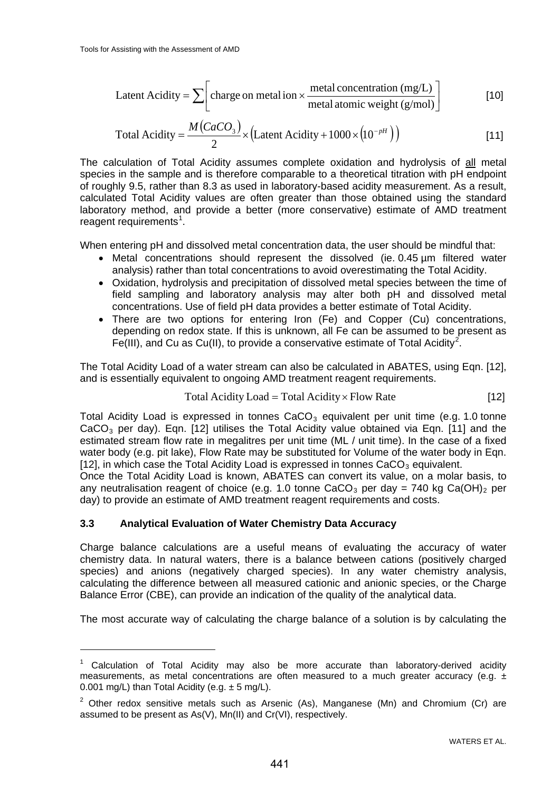$$
Latent Acidity = \sum \left[ \text{charge on metal ion} \times \frac{\text{metal concentration (mg/L)}}{\text{metal atomic weight (g/mol)}} \right]
$$
 [10]

Total Acidity = 
$$
\frac{M(CaCO_3)}{2}
$$
 × (Latent Acidity + 1000 × (10<sup>-pH</sup>)) [11]

The calculation of Total Acidity assumes complete oxidation and hydrolysis of all metal species in the sample and is therefore comparable to a theoretical titration with pH endpoint of roughly 9.5, rather than 8.3 as used in laboratory-based acidity measurement. As a result, calculated Total Acidity values are often greater than those obtained using the standard laboratory method, and provide a better (more conservative) estimate of AMD treatment reagent requirements<sup>[1](#page-6-0)</sup>.

When entering pH and dissolved metal concentration data, the user should be mindful that:

- Metal concentrations should represent the dissolved (ie. 0.45 µm filtered water analysis) rather than total concentrations to avoid overestimating the Total Acidity.
- Oxidation, hydrolysis and precipitation of dissolved metal species between the time of field sampling and laboratory analysis may alter both pH and dissolved metal concentrations. Use of field pH data provides a better estimate of Total Acidity.
- There are two options for entering Iron (Fe) and Copper (Cu) concentrations, depending on redox state. If this is unknown, all Fe can be assumed to be present as Fe(III), and Cu as Cu(II), to provide a conservative estimate of Total Acidity<sup>[2](#page-6-1)</sup>.

The Total Acidity Load of a water stream can also be calculated in ABATES, using Eqn. [12], and is essentially equivalent to ongoing AMD treatment reagent requirements.

$$
Total Acidity Load = Total Acidity \times Flow Rate
$$
 [12]

Total Acidity Load is expressed in tonnes  $CaCO<sub>3</sub>$  equivalent per unit time (e.g. 1.0 tonne  $CaCO<sub>3</sub>$  per day). Eqn. [12] utilises the Total Acidity value obtained via Eqn. [11] and the estimated stream flow rate in megalitres per unit time (ML / unit time). In the case of a fixed water body (e.g. pit lake), Flow Rate may be substituted for Volume of the water body in Eqn. [12], in which case the Total Acidity Load is expressed in tonnes  $CaCO<sub>3</sub>$  equivalent.

Once the Total Acidity Load is known, ABATES can convert its value, on a molar basis, to any neutralisation reagent of choice (e.g. 1.0 tonne  $CaCO<sub>3</sub>$  per day = 740 kg Ca(OH)<sub>2</sub> per day) to provide an estimate of AMD treatment reagent requirements and costs.

#### **3.3 Analytical Evaluation of Water Chemistry Data Accuracy**

Charge balance calculations are a useful means of evaluating the accuracy of water chemistry data. In natural waters, there is a balance between cations (positively charged species) and anions (negatively charged species). In any water chemistry analysis, calculating the difference between all measured cationic and anionic species, or the Charge Balance Error (CBE), can provide an indication of the quality of the analytical data.

The most accurate way of calculating the charge balance of a solution is by calculating the

<span id="page-6-0"></span> $1$  Calculation of Total Acidity may also be more accurate than laboratory-derived acidity measurements, as metal concentrations are often measured to a much greater accuracy (e.g.  $\pm$ 0.001 mg/L) than Total Acidity (e.g.  $\pm$  5 mg/L).

<span id="page-6-1"></span> $2$  Other redox sensitive metals such as Arsenic (As), Manganese (Mn) and Chromium (Cr) are assumed to be present as As(V), Mn(II) and Cr(VI), respectively.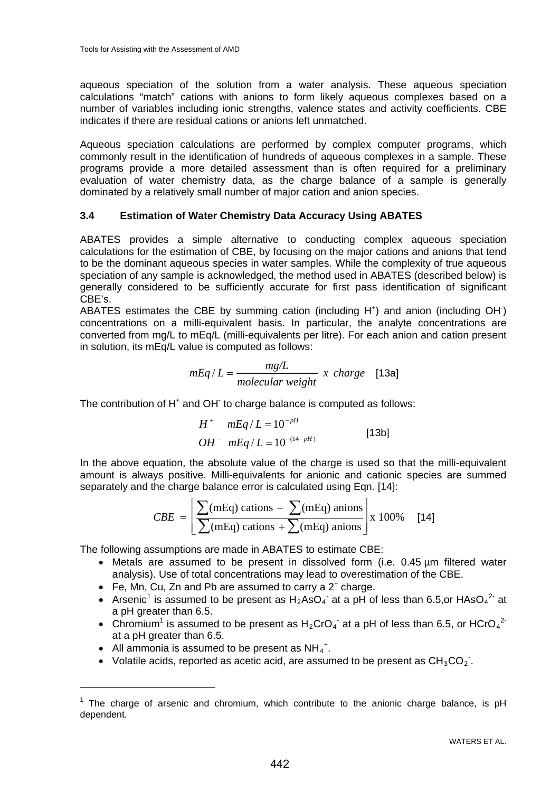aqueous speciation of the solution from a water analysis. These aqueous speciation calculations "match" cations with anions to form likely aqueous complexes based on a number of variables including ionic strengths, valence states and activity coefficients. CBE indicates if there are residual cations or anions left unmatched.

Aqueous speciation calculations are performed by complex computer programs, which commonly result in the identification of hundreds of aqueous complexes in a sample. These programs provide a more detailed assessment than is often required for a preliminary evaluation of water chemistry data, as the charge balance of a sample is generally dominated by a relatively small number of major cation and anion species.

# **3.4 Estimation of Water Chemistry Data Accuracy Using ABATES**

ABATES provides a simple alternative to conducting complex aqueous speciation calculations for the estimation of CBE, by focusing on the major cations and anions that tend to be the dominant aqueous species in water samples. While the complexity of true aqueous speciation of any sample is acknowledged, the method used in ABATES (described below) is generally considered to be sufficiently accurate for first pass identification of significant CBE's.

ABATES estimates the CBE by summing cation (including  $H^+$ ) and anion (including OH $\bar{ }$ ) concentrations on a milli-equivalent basis. In particular, the analyte concentrations are converted from mg/L to mEq/L (milli-equivalents per litre). For each anion and cation present in solution, its mEq/L value is computed as follows:

$$
mEq/L = \frac{mg/L}{molecular \ weight} \ x \ charge \ [13a]
$$

The contribution of H<sup>+</sup> and OH<sup>-</sup> to charge balance is computed as follows:

$$
H^{+} mEq/L = 10^{-pH}
$$
  
OH^{-} mEq/L = 10<sup>-(14-pH)</sup> [13b]

In the above equation, the absolute value of the charge is used so that the milli-equivalent amount is always positive. Milli-equivalents for anionic and cationic species are summed separately and the charge balance error is calculated using Eqn. [14]:

$$
CBE = \left[ \frac{\sum (mEq) \text{ cations} - \sum (mEq) \text{ anions}}{\sum (mEq) \text{ cations} + \sum (mEq) \text{ anions}} \right] x 100\% \quad [14]
$$

The following assumptions are made in ABATES to estimate CBE:

- Metals are assumed to be present in dissolved form (i.e. 0.45 um filtered water analysis). Use of total concentrations may lead to overestimation of the CBE.
- Fe, Mn, Cu, Zn and Pb are assumed to carry a  $2^+$  charge.
- Arsenic<sup>[1](#page-7-0)</sup> is assumed to be present as  $H_2AsO_4^-$  at a pH of less than 6.5,or HAsO<sub>4</sub><sup>2</sup> at a pH greater than 6.5.
- Chromium<sup>1</sup> is assumed to be present as  $H_2CrO_4$  at a pH of less than 6.5, or HCrO<sub>4</sub><sup>2</sup> at a pH greater than 6.5.
- All ammonia is assumed to be present as  $NH_4^+$ .

• Volatile acids, reported as acetic acid, are assumed to be present as  $CH_3CO_2$ .

<span id="page-7-0"></span> $1$  The charge of arsenic and chromium, which contribute to the anionic charge balance, is pH dependent.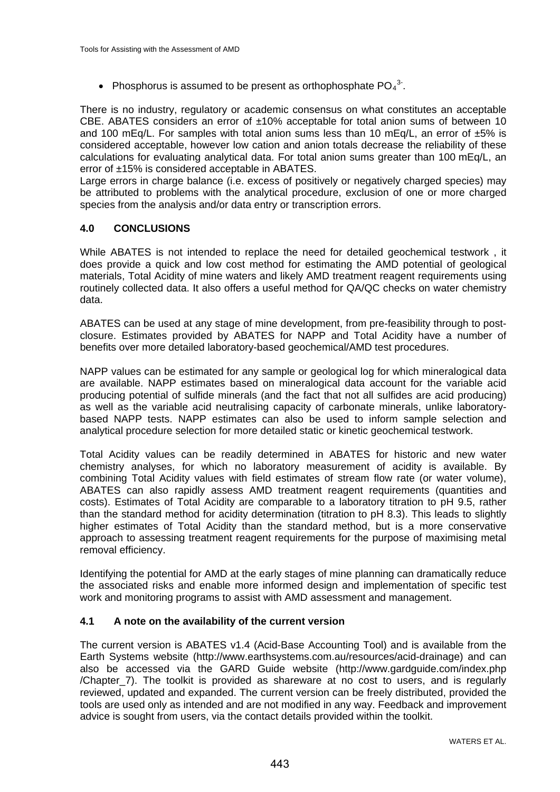• Phosphorus is assumed to be present as orthophosphate  $PO_4^3$ .

There is no industry, regulatory or academic consensus on what constitutes an acceptable CBE. ABATES considers an error of  $\pm 10\%$  acceptable for total anion sums of between 10 and 100 mEq/L. For samples with total anion sums less than 10 mEq/L, an error of  $\pm 5\%$  is considered acceptable, however low cation and anion totals decrease the reliability of these calculations for evaluating analytical data. For total anion sums greater than 100 mEq/L, an error of ±15% is considered acceptable in ABATES.

Large errors in charge balance (i.e. excess of positively or negatively charged species) may be attributed to problems with the analytical procedure, exclusion of one or more charged species from the analysis and/or data entry or transcription errors.

# **4.0 CONCLUSIONS**

While ABATES is not intended to replace the need for detailed geochemical testwork , it does provide a quick and low cost method for estimating the AMD potential of geological materials, Total Acidity of mine waters and likely AMD treatment reagent requirements using routinely collected data. It also offers a useful method for QA/QC checks on water chemistry data.

ABATES can be used at any stage of mine development, from pre-feasibility through to postclosure. Estimates provided by ABATES for NAPP and Total Acidity have a number of benefits over more detailed laboratory-based geochemical/AMD test procedures.

NAPP values can be estimated for any sample or geological log for which mineralogical data are available. NAPP estimates based on mineralogical data account for the variable acid producing potential of sulfide minerals (and the fact that not all sulfides are acid producing) as well as the variable acid neutralising capacity of carbonate minerals, unlike laboratorybased NAPP tests. NAPP estimates can also be used to inform sample selection and analytical procedure selection for more detailed static or kinetic geochemical testwork.

Total Acidity values can be readily determined in ABATES for historic and new water chemistry analyses, for which no laboratory measurement of acidity is available. By combining Total Acidity values with field estimates of stream flow rate (or water volume), ABATES can also rapidly assess AMD treatment reagent requirements (quantities and costs). Estimates of Total Acidity are comparable to a laboratory titration to pH 9.5, rather than the standard method for acidity determination (titration to pH 8.3). This leads to slightly higher estimates of Total Acidity than the standard method, but is a more conservative approach to assessing treatment reagent requirements for the purpose of maximising metal removal efficiency.

Identifying the potential for AMD at the early stages of mine planning can dramatically reduce the associated risks and enable more informed design and implementation of specific test work and monitoring programs to assist with AMD assessment and management.

#### **4.1 A note on the availability of the current version**

The current version is ABATES v1.4 (Acid-Base Accounting Tool) and is available from the Earth Systems website (http://www.earthsystems.com.au/resources/acid-drainage) and can also be accessed via the GARD Guide website (http://www.gardguide.com/index.php /Chapter\_7). The toolkit is provided as shareware at no cost to users, and is regularly reviewed, updated and expanded. The current version can be freely distributed, provided the tools are used only as intended and are not modified in any way. Feedback and improvement advice is sought from users, via the contact details provided within the toolkit.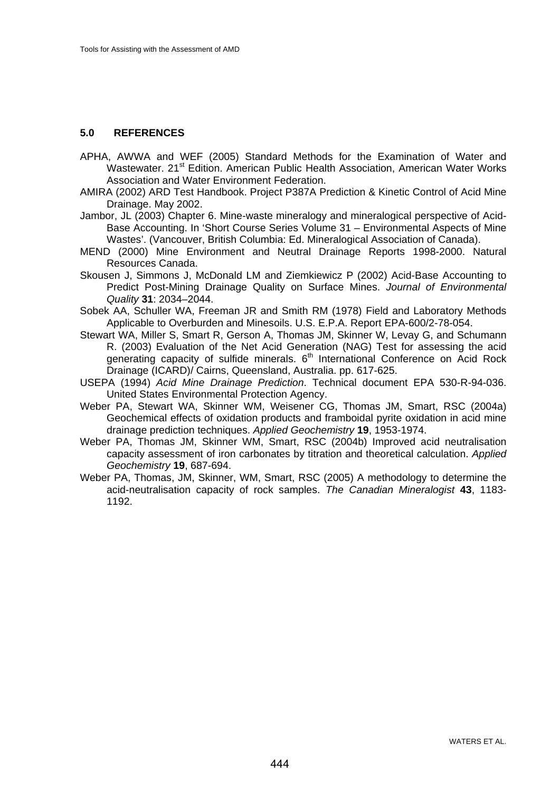# **5.0 REFERENCES**

- APHA, AWWA and WEF (2005) Standard Methods for the Examination of Water and Wastewater. 21<sup>st</sup> Edition. American Public Health Association, American Water Works Association and Water Environment Federation.
- AMIRA (2002) ARD Test Handbook. Project P387A Prediction & Kinetic Control of Acid Mine Drainage. May 2002.
- Jambor, JL (2003) Chapter 6. Mine-waste mineralogy and mineralogical perspective of Acid-Base Accounting. In 'Short Course Series Volume 31 – Environmental Aspects of Mine Wastes'. (Vancouver, British Columbia: Ed. Mineralogical Association of Canada).
- MEND (2000) Mine Environment and Neutral Drainage Reports 1998-2000. Natural Resources Canada.
- Skousen J, Simmons J, McDonald LM and Ziemkiewicz P (2002) Acid-Base Accounting to Predict Post-Mining Drainage Quality on Surface Mines. *Journal of Environmental Quality* **31**: 2034–2044.
- Sobek AA, Schuller WA, Freeman JR and Smith RM (1978) Field and Laboratory Methods Applicable to Overburden and Minesoils. U.S. E.P.A. Report EPA-600/2-78-054.
- Stewart WA, Miller S, Smart R, Gerson A, Thomas JM, Skinner W, Levay G, and Schumann R. (2003) Evaluation of the Net Acid Generation (NAG) Test for assessing the acid generating capacity of sulfide minerals. 6<sup>th</sup> International Conference on Acid Rock Drainage (ICARD)/ Cairns, Queensland, Australia. pp. 617-625.
- USEPA (1994) *Acid Mine Drainage Prediction*. Technical document EPA 530-R-94-036. United States Environmental Protection Agency.
- Weber PA, Stewart WA, Skinner WM, Weisener CG, Thomas JM, Smart, RSC (2004a) Geochemical effects of oxidation products and framboidal pyrite oxidation in acid mine drainage prediction techniques. *Applied Geochemistry* **19**, 1953-1974.
- Weber PA, Thomas JM, Skinner WM, Smart, RSC (2004b) Improved acid neutralisation capacity assessment of iron carbonates by titration and theoretical calculation. *Applied Geochemistry* **19**, 687-694.
- Weber PA, Thomas, JM, Skinner, WM, Smart, RSC (2005) A methodology to determine the acid-neutralisation capacity of rock samples. *The Canadian Mineralogist* **43**, 1183- 1192.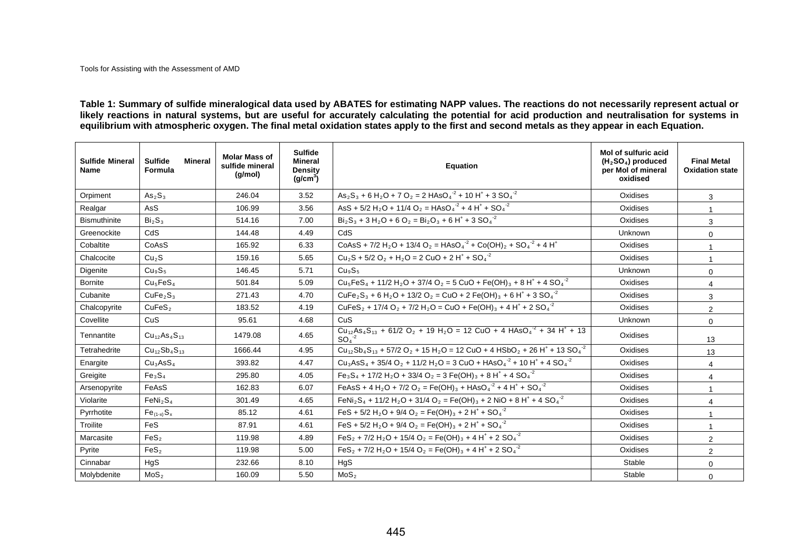**Table 1: Summary of sulfide mineralogical data used by ABATES for estimating NAPP values. The reactions do not necessarily represent actual or**  likely reactions in natural systems, but are useful for accurately calculating the potential for acid production and neutralisation for systems in **equilibrium with atmospheric oxygen. The final metal oxidation states apply to the first and second metals as they appear in each Equation.** 

| <b>Sulfide Mineral</b><br><b>Name</b> | <b>Sulfide</b><br>Mineral<br>Formula | <b>Molar Mass of</b><br>sulfide mineral<br>(g/mol) | <b>Sulfide</b><br>Mineral<br>Density<br>(q/cm <sup>3</sup> ) | <b>Equation</b>                                                                                                                                                   | Mol of sulfuric acid<br>$(H2SO4)$ produced<br>per Mol of mineral<br>oxidised | <b>Final Metal</b><br><b>Oxidation state</b> |
|---------------------------------------|--------------------------------------|----------------------------------------------------|--------------------------------------------------------------|-------------------------------------------------------------------------------------------------------------------------------------------------------------------|------------------------------------------------------------------------------|----------------------------------------------|
| Orpiment                              | As <sub>2</sub> S <sub>3</sub>       | 246.04                                             | 3.52                                                         | $As_2S_3 + 6H_2O + 7O_2 = 2HAsO4-2 + 10H+ + 3SO4-2$                                                                                                               | Oxidises                                                                     | 3                                            |
| Realgar                               | AsS                                  | 106.99                                             | 3.56                                                         | $\text{AsS} + 5/2 \text{ H}_2\text{O} + 11/4 \text{ O}_2 = \text{HAsO}_4^{-2} + 4 \text{ H}^+ + \text{SO}_4^{-2}$                                                 | Oxidises                                                                     | 1                                            |
| <b>Bismuthinite</b>                   | Bi <sub>2</sub> S <sub>3</sub>       | 514.16                                             | 7.00                                                         | $Bi_2S_3 + 3 H_2O + 6 O_2 = Bi_2O_3 + 6 H^+ + 3 SO_4^2$                                                                                                           | Oxidises                                                                     | 3                                            |
| Greenockite                           | CdS                                  | 144.48                                             | 4.49                                                         | CdS                                                                                                                                                               | <b>Unknown</b>                                                               | $\Omega$                                     |
| Cobaltite                             | CoAsS                                | 165.92                                             | 6.33                                                         | $\text{CoAsS} + \frac{7}{2} H_2O + \frac{13}{4} O_2 = \text{HASO}_4^{-2} + \text{Co(OH)}_2 + \text{SO}_4^{-2} + 4 H^+$                                            | Oxidises                                                                     | $\mathbf{1}$                                 |
| Chalcocite                            | Cu <sub>2</sub> S                    | 159.16                                             | 5.65                                                         | $Cu_2S + 5/2 O_2 + H_2O = 2 CuO + 2 H^+ + SO_4^{-2}$                                                                                                              | Oxidises                                                                     | $\mathbf{1}$                                 |
| Digenite                              | Cu <sub>9</sub> S <sub>5</sub>       | 146.45                                             | 5.71                                                         | Cu <sub>9</sub> S <sub>5</sub>                                                                                                                                    | Unknown                                                                      | $\Omega$                                     |
| <b>Bornite</b>                        | Cu <sub>5</sub> FeS <sub>4</sub>     | 501.84                                             | 5.09                                                         | $Cu_5FeS_4 + 11/2 H_2O + 37/4 O_2 = 5 CuO + Fe(OH)3 + 8 H+ + 4 SO4-2$                                                                                             | Oxidises                                                                     | $\overline{4}$                               |
| Cubanite                              | CuFe <sub>2</sub> S <sub>3</sub>     | 271.43                                             | 4.70                                                         | CuFe <sub>2</sub> S <sub>3</sub> + 6 H <sub>2</sub> O + 13/2 O <sub>2</sub> = CuO + 2 Fe(OH) <sub>3</sub> + 6 H <sup>+</sup> + 3 SO <sub>4</sub> <sup>-2</sup>    | Oxidises                                                                     | 3                                            |
| Chalcopyrite                          | CuFeS <sub>2</sub>                   | 183.52                                             | 4.19                                                         | $CuFeS2 + 17/4 O2 + 7/2 H2O = CuO + Fe(OH)3 + 4 H+ + 2 SO4-2$                                                                                                     | Oxidises                                                                     | $\overline{2}$                               |
| Covellite                             | CuS                                  | 95.61                                              | 4.68                                                         | CuS                                                                                                                                                               | <b>Unknown</b>                                                               | $\overline{0}$                               |
| Tennantite                            | $Cu_{12}As_{4}S_{13}$                | 1479.08                                            | 4.65                                                         | $Cu_{12}As_{4}S_{13}$ + 61/2 O <sub>2</sub> + 19 H <sub>2</sub> O = 12 CuO + 4 HAsO <sub>4</sub> <sup>-2</sup> + 34 H <sup>+</sup> + 13<br>SO <sub>4</sub>        | Oxidises                                                                     | 13                                           |
| Tetrahedrite                          | $Cu_{12}Sb_{4}S_{13}$                | 1666.44                                            | 4.95                                                         | $Cu_{12}Sb_4S_{13} + 57/2O_2 + 15H_2O = 12 CuO + 4 HSbO_2 + 26 H^* + 13 SO_4^2$                                                                                   | Oxidises                                                                     | 13                                           |
| Enargite                              | Cu <sub>3</sub> AsS <sub>4</sub>     | 393.82                                             | 4.47                                                         | $Cu3 AsS4 + 35/4 O2 + 11/2 H2O = 3 CuO + HAsO4-2 + 10 H+ + 4 SO4-2$                                                                                               | Oxidises                                                                     | 4                                            |
| Greigite                              | Fe <sub>3</sub> S <sub>4</sub>       | 295.80                                             | 4.05                                                         | $Fe_3S_4$ + 17/2 H <sub>2</sub> O + 33/4 O <sub>2</sub> = 3 Fe(OH) <sub>3</sub> + 8 H <sup>+</sup> + 4 SO <sub>4</sub> <sup>-2</sup>                              | Oxidises                                                                     | 4                                            |
| Arsenopyrite                          | FeAsS                                | 162.83                                             | 6.07                                                         | FeAsS + 4 H <sub>2</sub> O + 7/2 O <sub>2</sub> = Fe(OH) <sub>3</sub> + HAsO <sub>4</sub> <sup>-2</sup> + 4 H <sup>+</sup> + SO <sub>4</sub> <sup>-2</sup>        | Oxidises                                                                     | 1                                            |
| Violarite                             | FeNi <sub>2</sub> S <sub>4</sub>     | 301.49                                             | 4.65                                                         | FeNi <sub>2</sub> S <sub>4</sub> + 11/2 H <sub>2</sub> O + 31/4 O <sub>2</sub> = Fe(OH) <sub>3</sub> + 2 NiO + 8 H <sup>+</sup> + 4 SO <sub>4</sub> <sup>-2</sup> | Oxidises                                                                     | $\overline{4}$                               |
| Pyrrhotite                            | $Fe_{(1-x)}S_x$                      | 85.12                                              | 4.61                                                         | FeS + 5/2 H <sub>2</sub> O + 9/4 O <sub>2</sub> = Fe(OH) <sub>3</sub> + 2 H <sup>+</sup> + SO <sub>4</sub> <sup>-2</sup>                                          | Oxidises                                                                     | $\mathbf{1}$                                 |
| Troilite                              | <b>FeS</b>                           | 87.91                                              | 4.61                                                         | FeS + 5/2 H <sub>2</sub> O + 9/4 O <sub>2</sub> = Fe(OH) <sub>3</sub> + 2 H <sup>+</sup> + SO <sub>4</sub> <sup>-2</sup>                                          | Oxidises                                                                     | $\mathbf{1}$                                 |
| Marcasite                             | FeS <sub>2</sub>                     | 119.98                                             | 4.89                                                         | $\text{FeS}_2 + 7/2 \text{ H}_2\text{O} + 15/4 \text{ O}_2 = \text{Fe(OH)}_3 + 4 \text{ H}^+ + 2 \text{ SO}_4^{-2}$                                               | Oxidises                                                                     | $\overline{2}$                               |
| Pyrite                                | FeS <sub>2</sub>                     | 119.98                                             | 5.00                                                         | $\text{FeS}_2$ + 7/2 H <sub>2</sub> O + 15/4 O <sub>2</sub> = Fe(OH) <sub>3</sub> + 4 H <sup>+</sup> + 2 SO <sub>4</sub> <sup>-2</sup>                            | Oxidises                                                                     | $\overline{2}$                               |
| Cinnabar                              | HgS                                  | 232.66                                             | 8.10                                                         | HgS                                                                                                                                                               | Stable                                                                       | $\mathbf 0$                                  |
| Molybdenite                           | MoS <sub>2</sub>                     | 160.09                                             | 5.50                                                         | MoS <sub>2</sub>                                                                                                                                                  | Stable                                                                       | $\Omega$                                     |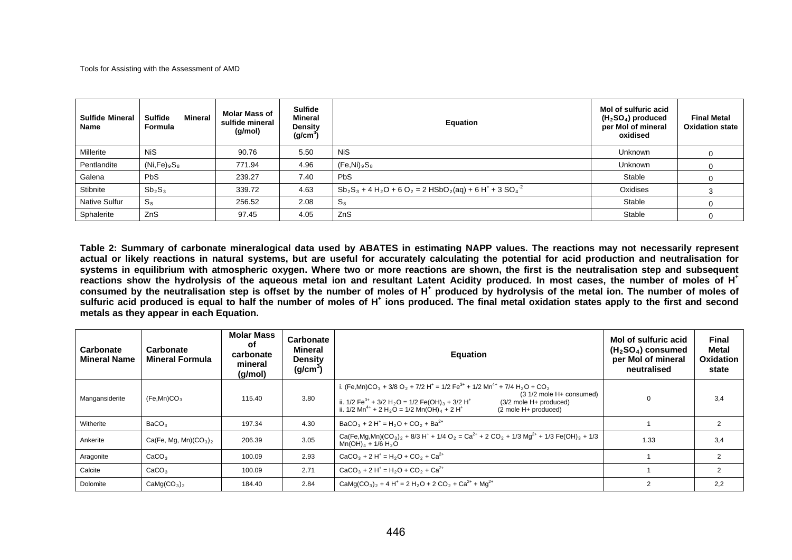| <b>Sulfide Mineral</b><br>Name | <b>Sulfide</b><br>Mineral<br>Formula | <b>Molar Mass of</b><br>sulfide mineral<br>(g/mol) | <b>Sulfide</b><br>Mineral<br><b>Density</b><br>(g/cm <sup>3</sup> ) | Equation                                                      | <b>Mol of sulfuric acid</b><br>$(H2SO4)$ produced<br>per Mol of mineral<br>oxidised | <b>Final Metal</b><br><b>Oxidation state</b> |
|--------------------------------|--------------------------------------|----------------------------------------------------|---------------------------------------------------------------------|---------------------------------------------------------------|-------------------------------------------------------------------------------------|----------------------------------------------|
| Millerite                      | <b>NiS</b>                           | 90.76                                              | 5.50                                                                | <b>NiS</b>                                                    | Unknown                                                                             |                                              |
| Pentlandite                    | $(Ni,Fe)_9S_8$                       | 771.94                                             | 4.96                                                                | $(Fe,Ni)_9S_8$                                                | Unknown                                                                             |                                              |
| Galena                         | PbS                                  | 239.27                                             | 7.40                                                                | <b>PbS</b>                                                    | Stable                                                                              |                                              |
| Stibnite                       | $Sb_2S_3$                            | 339.72                                             | 4.63                                                                | $Sb_2S_3 + 4H_2O + 6O_2 = 2 HSbO_2(aq) + 6 H^+ + 3 SO_4^{-2}$ | Oxidises                                                                            |                                              |
| Native Sulfur                  | $S_8$                                | 256.52                                             | 2.08                                                                | $S_8$                                                         | Stable                                                                              |                                              |
| Sphalerite                     | ZnS                                  | 97.45                                              | 4.05                                                                | ZnS                                                           | Stable                                                                              |                                              |

**Table 2: Summary of carbonate mineralogical data used by ABATES in estimating NAPP values. The reactions may not necessarily represent actual or likely reactions in natural systems, but are useful for accurately calculating the potential for acid production and neutralisation for systems in equilibrium with atmospheric oxygen. Where two or more reactions are shown, the first is the neutralisation step and subsequent reactions show the hydrolysis of the aqueous metal ion and resultant Latent Acidity produced. In most cases, the number of moles of H+** consumed by the neutralisation step is offset by the number of moles of H<sup>+</sup> produced by hydrolysis of the metal ion. The number of moles of sulfuric acid produced is equal to half the number of moles of H<sup>+</sup> ions produced. The final metal oxidation states apply to the first and second **metals as they appear in each Equation.**

| Carbonate<br><b>Mineral Name</b> | Carbonate<br><b>Mineral Formula</b> | <b>Molar Mass</b><br>οt<br>carbonate<br>mineral<br>(g/mol) | Carbonate<br>Mineral<br><b>Density</b><br>(g/cm <sup>3</sup> ) | <b>Equation</b>                                                                                                                                                                                                                                                                                                                                                                                                                              | Mol of sulfuric acid<br>$(H2SO4)$ consumed<br>per Mol of mineral<br>neutralised | <b>Final</b><br>Metal<br><b>Oxidation</b><br>state |
|----------------------------------|-------------------------------------|------------------------------------------------------------|----------------------------------------------------------------|----------------------------------------------------------------------------------------------------------------------------------------------------------------------------------------------------------------------------------------------------------------------------------------------------------------------------------------------------------------------------------------------------------------------------------------------|---------------------------------------------------------------------------------|----------------------------------------------------|
| Mangansiderite                   | (Fe, Mn)CO <sub>3</sub>             | 115.40                                                     | 3.80                                                           | i. (Fe,Mn)CO <sub>3</sub> + 3/8 O <sub>2</sub> + 7/2 H <sup>+</sup> = 1/2 Fe <sup>3+</sup> + 1/2 Mn <sup>4+</sup> + 7/4 H <sub>2</sub> O + CO <sub>2</sub><br>$(3\ 1/2\$ mole $H+$ consumed)<br>ii. $1/2 \text{Fe}^{3+} + 3/2 \text{H}_2\text{O} = 1/2 \text{Fe(OH)}_3 + 3/2 \text{H}^+$<br>(3/2 mole H+ produced)<br>ii. $1/2$ Mn <sup>4+</sup> + 2 H <sub>2</sub> O = $1/2$ Mn(OH) <sub>4</sub> + 2 H <sup>+</sup><br>(2 mole H+ produced) | $\Omega$                                                                        | 3,4                                                |
| Witherite                        | BaCO <sub>3</sub>                   | 197.34                                                     | 4.30                                                           | $BaCO3 + 2 H+ = H2O + CO2 + Ba2+$                                                                                                                                                                                                                                                                                                                                                                                                            |                                                                                 | $\overline{2}$                                     |
| Ankerite                         | $Ca(Fe, Mg, Mn)(CO3)2$              | 206.39                                                     | 3.05                                                           | Ca(Fe,Mg,Mn)(CO <sub>3</sub> ) <sub>2</sub> + 8/3 H <sup>+</sup> + 1/4 O <sub>2</sub> = Ca <sup>2+</sup> + 2 CO <sub>2</sub> + 1/3 Mg <sup>2+</sup> + 1/3 Fe(OH) <sub>3</sub> + 1/3<br>$Mn(OH)4 + 1/6 H2O$                                                                                                                                                                                                                                   | 1.33                                                                            | 3,4                                                |
| Aragonite                        | CaCO <sub>3</sub>                   | 100.09                                                     | 2.93                                                           | $CaCO3 + 2 H+ = H2O + CO2 + Ca2+$                                                                                                                                                                                                                                                                                                                                                                                                            |                                                                                 | $\mathcal{P}$                                      |
| Calcite                          | CaCO <sub>3</sub>                   | 100.09                                                     | 2.71                                                           | $CaCO3 + 2 H+ = H2O + CO2 + Ca2+$                                                                                                                                                                                                                                                                                                                                                                                                            |                                                                                 | 2                                                  |
| Dolomite                         | CaMg(CO <sub>3</sub> ) <sub>2</sub> | 184.40                                                     | 2.84                                                           | CaMg(CO <sub>3</sub> ) <sub>2</sub> + 4 H <sup>+</sup> = 2 H <sub>2</sub> O + 2 CO <sub>2</sub> + Ca <sup>2+</sup> + Mg <sup>2+</sup>                                                                                                                                                                                                                                                                                                        | $\mathcal{P}$                                                                   | 2,2                                                |